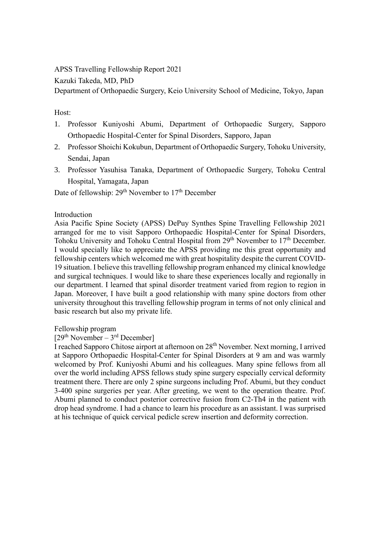APSS Travelling Fellowship Report 2021

Kazuki Takeda, MD, PhD

Department of Orthopaedic Surgery, Keio University School of Medicine, Tokyo, Japan

# Host:

- 1. Professor Kuniyoshi Abumi, Department of Orthopaedic Surgery, Sapporo Orthopaedic Hospital-Center for Spinal Disorders, Sapporo, Japan
- 2. Professor Shoichi Kokubun, Department of Orthopaedic Surgery, Tohoku University, Sendai, Japan
- 3. Professor Yasuhisa Tanaka, Department of Orthopaedic Surgery, Tohoku Central Hospital, Yamagata, Japan

Date of fellowship: 29<sup>th</sup> November to 17<sup>th</sup> December

## Introduction

Asia Pacific Spine Society (APSS) DePuy Synthes Spine Travelling Fellowship 2021 arranged for me to visit Sapporo Orthopaedic Hospital-Center for Spinal Disorders, Tohoku University and Tohoku Central Hospital from 29<sup>th</sup> November to 17<sup>th</sup> December. I would specially like to appreciate the APSS providing me this great opportunity and fellowship centers which welcomed me with great hospitality despite the current COVID-19 situation. I believe this travelling fellowship program enhanced my clinical knowledge and surgical techniques. I would like to share these experiences locally and regionally in our department. I learned that spinal disorder treatment varied from region to region in Japan. Moreover, I have built a good relationship with many spine doctors from other university throughout this travelling fellowship program in terms of not only clinical and basic research but also my private life.

## Fellowship program

## $[29<sup>th</sup> November - 3<sup>rd</sup> December]$

I reached Sapporo Chitose airport at afternoon on 28th November. Next morning, I arrived at Sapporo Orthopaedic Hospital-Center for Spinal Disorders at 9 am and was warmly welcomed by Prof. Kuniyoshi Abumi and his colleagues. Many spine fellows from all over the world including APSS fellows study spine surgery especially cervical deformity treatment there. There are only 2 spine surgeons including Prof. Abumi, but they conduct 3-400 spine surgeries per year. After greeting, we went to the operation theatre. Prof. Abumi planned to conduct posterior corrective fusion from C2-Th4 in the patient with drop head syndrome. I had a chance to learn his procedure as an assistant. I was surprised at his technique of quick cervical pedicle screw insertion and deformity correction.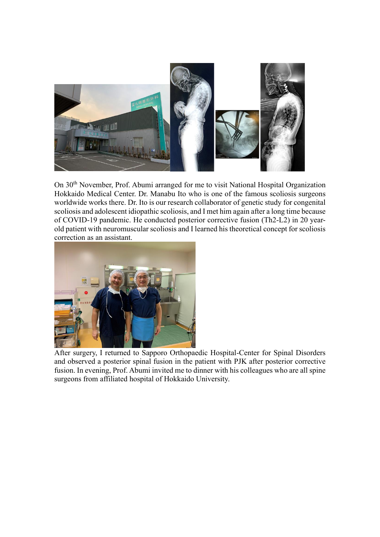

On 30<sup>th</sup> November, Prof. Abumi arranged for me to visit National Hospital Organization Hokkaido Medical Center. Dr. Manabu Ito who is one of the famous scoliosis surgeons worldwide works there. Dr. Ito is our research collaborator of genetic study for congenital scoliosis and adolescent idiopathic scoliosis, and I met him again after a long time because of COVID-19 pandemic. He conducted posterior corrective fusion (Th2-L2) in 20 yearold patient with neuromuscular scoliosis and I learned his theoretical concept for scoliosis correction as an assistant.



After surgery, I returned to Sapporo Orthopaedic Hospital-Center for Spinal Disorders and observed a posterior spinal fusion in the patient with PJK after posterior corrective fusion. In evening, Prof. Abumi invited me to dinner with his colleagues who are all spine surgeons from affiliated hospital of Hokkaido University.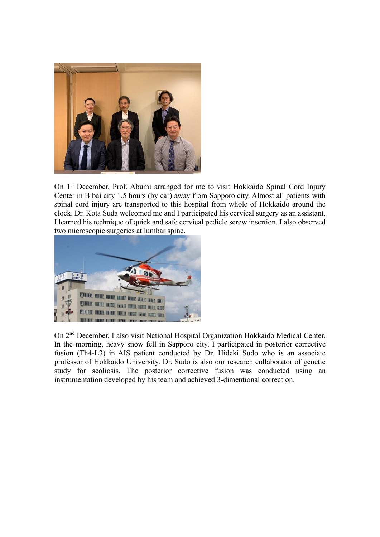

On 1<sup>st</sup> December, Prof. Abumi arranged for me to visit Hokkaido Spinal Cord Injury Center in Bibai city 1.5 hours (by car) away from Sapporo city. Almost all patients with spinal cord injury are transported to this hospital from whole of Hokkaido around the clock. Dr. Kota Suda welcomed me and I participated his cervical surgery as an assistant. I learned his technique of quick and safe cervical pedicle screw insertion. I also observed two microscopic surgeries at lumbar spine.



On 2nd December, I also visit National Hospital Organization Hokkaido Medical Center. In the morning, heavy snow fell in Sapporo city. I participated in posterior corrective fusion (Th4-L3) in AIS patient conducted by Dr. Hideki Sudo who is an associate professor of Hokkaido University. Dr. Sudo is also our research collaborator of genetic study for scoliosis. The posterior corrective fusion was conducted using an instrumentation developed by his team and achieved 3-dimentional correction.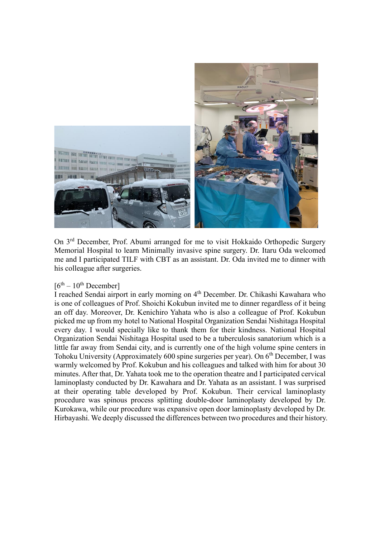

On 3rd December, Prof. Abumi arranged for me to visit Hokkaido Orthopedic Surgery Memorial Hospital to learn Minimally invasive spine surgery. Dr. Itaru Oda welcomed me and I participated TILF with CBT as an assistant. Dr. Oda invited me to dinner with his colleague after surgeries.

#### $[6<sup>th</sup> - 10<sup>th</sup>$  December]

I reached Sendai airport in early morning on 4<sup>th</sup> December. Dr. Chikashi Kawahara who is one of colleagues of Prof. Shoichi Kokubun invited me to dinner regardless of it being an off day. Moreover, Dr. Kenichiro Yahata who is also a colleague of Prof. Kokubun picked me up from my hotel to National Hospital Organization Sendai Nishitaga Hospital every day. I would specially like to thank them for their kindness. National Hospital Organization Sendai Nishitaga Hospital used to be a tuberculosis sanatorium which is a little far away from Sendai city, and is currently one of the high volume spine centers in Tohoku University (Approximately 600 spine surgeries per year). On 6<sup>th</sup> December, I was warmly welcomed by Prof. Kokubun and his colleagues and talked with him for about 30 minutes. After that, Dr. Yahata took me to the operation theatre and I participated cervical laminoplasty conducted by Dr. Kawahara and Dr. Yahata as an assistant. I was surprised at their operating table developed by Prof. Kokubun. Their cervical laminoplasty procedure was spinous process splitting double-door laminoplasty developed by Dr. Kurokawa, while our procedure was expansive open door laminoplasty developed by Dr. Hirbayashi. We deeply discussed the differences between two procedures and their history.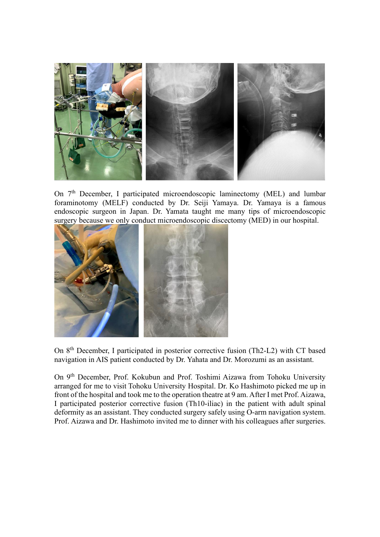

On 7<sup>th</sup> December, I participated microendoscopic laminectomy (MEL) and lumbar foraminotomy (MELF) conducted by Dr. Seiji Yamaya. Dr. Yamaya is a famous endoscopic surgeon in Japan. Dr. Yamata taught me many tips of microendoscopic surgery because we only conduct microendoscopic discectomy (MED) in our hospital.



On 8<sup>th</sup> December, I participated in posterior corrective fusion (Th2-L2) with CT based navigation in AIS patient conducted by Dr. Yahata and Dr. Morozumi as an assistant.

On 9th December, Prof. Kokubun and Prof. Toshimi Aizawa from Tohoku University arranged for me to visit Tohoku University Hospital. Dr. Ko Hashimoto picked me up in front of the hospital and took me to the operation theatre at 9 am. After I met Prof. Aizawa, I participated posterior corrective fusion (Th10-iliac) in the patient with adult spinal deformity as an assistant. They conducted surgery safely using O-arm navigation system. Prof. Aizawa and Dr. Hashimoto invited me to dinner with his colleagues after surgeries.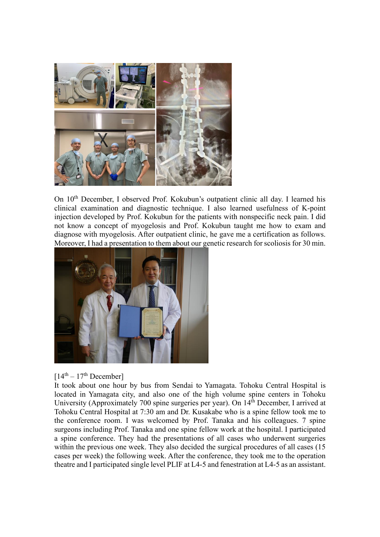

On 10<sup>th</sup> December, I observed Prof. Kokubun's outpatient clinic all day. I learned his clinical examination and diagnostic technique. I also learned usefulness of K-point injection developed by Prof. Kokubun for the patients with nonspecific neck pain. I did not know a concept of myogelosis and Prof. Kokubun taught me how to exam and diagnose with myogelosis. After outpatient clinic, he gave me a certification as follows. Moreover, I had a presentation to them about our genetic research for scoliosis for 30 min.



 $[14<sup>th</sup> - 17<sup>th</sup>$  December]

It took about one hour by bus from Sendai to Yamagata. Tohoku Central Hospital is located in Yamagata city, and also one of the high volume spine centers in Tohoku University (Approximately 700 spine surgeries per year). On 14<sup>th</sup> December, I arrived at Tohoku Central Hospital at 7:30 am and Dr. Kusakabe who is a spine fellow took me to the conference room. I was welcomed by Prof. Tanaka and his colleagues. 7 spine surgeons including Prof. Tanaka and one spine fellow work at the hospital. I participated a spine conference. They had the presentations of all cases who underwent surgeries within the previous one week. They also decided the surgical procedures of all cases (15) cases per week) the following week. After the conference, they took me to the operation theatre and I participated single level PLIF at L4-5 and fenestration at L4-5 as an assistant.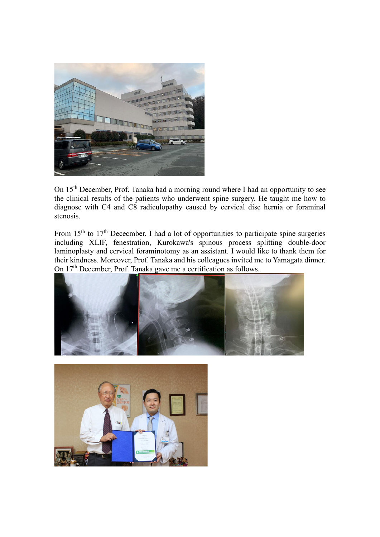

On 15<sup>th</sup> December, Prof. Tanaka had a morning round where I had an opportunity to see the clinical results of the patients who underwent spine surgery. He taught me how to diagnose with C4 and C8 radiculopathy caused by cervical disc hernia or foraminal stenosis.

From  $15<sup>th</sup>$  to  $17<sup>th</sup>$  Dececmber, I had a lot of opportunities to participate spine surgeries including XLIF, fenestration, Kurokawa's spinous process splitting double-door laminoplasty and cervical foraminotomy as an assistant. I would like to thank them for their kindness. Moreover, Prof. Tanaka and his colleagues invited me to Yamagata dinner. On 17th December, Prof. Tanaka gave me a certification as follows.